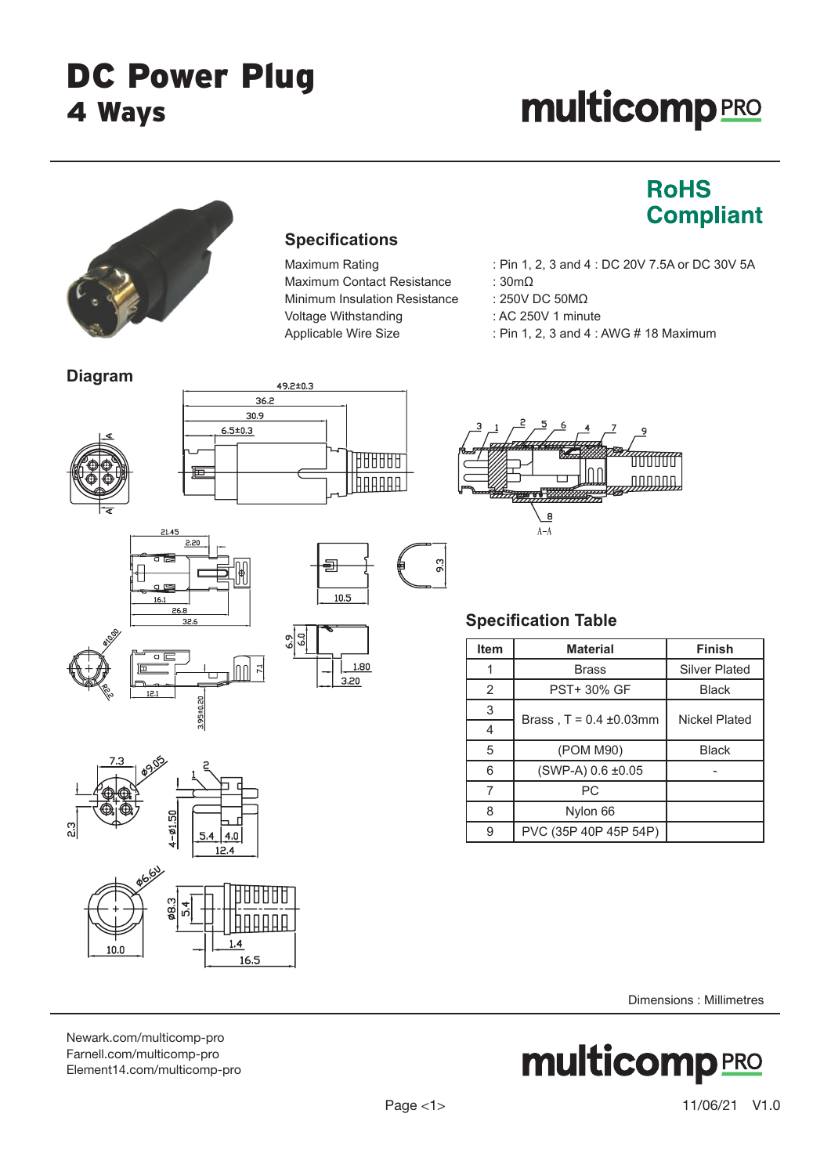# **multicomp**PRO

**RoHS** 

**Compliant** 



## **Specifications**

Maximum Contact Resistance : 30mΩ Minimum Insulation Resistance : 250V DC 50MΩ Voltage Withstanding : AC 250V 1 minute

## Maximum Rating : Pin 1, 2, 3 and 4 : DC 20V 7.5A or DC 30V 5A

- 
- 
- 
- Applicable Wire Size : Pin 1, 2, 3 and 4 : AWG # 18 Maximum









1.80

 $3.20$ 



 $7.20$ 



# **Specification Table**

 $\overline{8}$  $A - \overline{A}$ 

| <b>Item</b> | <b>Material</b>              | <b>Finish</b>        |
|-------------|------------------------------|----------------------|
| 1           | Brass                        | <b>Silver Plated</b> |
| 2           | <b>PST+ 30% GF</b>           | <b>Black</b>         |
| 3           | Brass, $T = 0.4 \pm 0.03$ mm | Nickel Plated        |
| 4           |                              |                      |
| 5           | (POM M90)                    | <b>Black</b>         |
| 6           | $(SWP-A) 0.6 \pm 0.05$       |                      |
| 7           | РC                           |                      |
| 8           | Nylon 66                     |                      |
| 9           | PVC (35P 40P 45P 54P)        |                      |

Dimensions : Millimetres

**multicomp PRO** 

#### [Newark.com/multicomp-](https://www.newark.com/multicomp-pro)pro [Farnell.com/multicomp](https://www.farnell.com/multicomp-pro)-pro [Element14.com/multicomp-pro](https://element14.com/multicomp-pro)